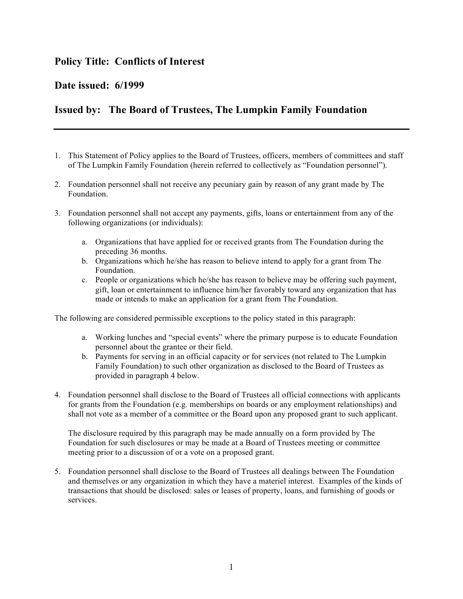## **Policy Title: Conflicts of Interest**

## **Date issued: 6/1999**

## **Issued by: The Board of Trustees, The Lumpkin Family Foundation**

- 1. This Statement of Policy applies to the Board of Trustees, officers, members of committees and staff of The Lumpkin Family Foundation (herein referred to collectively as "Foundation personnel").
- 2. Foundation personnel shall not receive any pecuniary gain by reason of any grant made by The Foundation.
- 3. Foundation personnel shall not accept any payments, gifts, loans or entertainment from any of the following organizations (or individuals):
	- a. Organizations that have applied for or received grants from The Foundation during the preceding 36 months.
	- b. Organizations which he/she has reason to believe intend to apply for a grant from The Foundation.
	- c. People or organizations which he/she has reason to believe may be offering such payment, gift, loan or entertainment to influence him/her favorably toward any organization that has made or intends to make an application for a grant from The Foundation.

The following are considered permissible exceptions to the policy stated in this paragraph:

- a. Working lunches and "special events" where the primary purpose is to educate Foundation personnel about the grantee or their field.
- b. Payments for serving in an official capacity or for services (not related to The Lumpkin Family Foundation) to such other organization as disclosed to the Board of Trustees as provided in paragraph 4 below.
- 4. Foundation personnel shall disclose to the Board of Trustees all official connections with applicants for grants from the Foundation (e.g. memberships on boards or any employment relationships) and shall not vote as a member of a committee or the Board upon any proposed grant to such applicant.

The disclosure required by this paragraph may be made annually on a form provided by The Foundation for such disclosures or may be made at a Board of Trustees meeting or committee meeting prior to a discussion of or a vote on a proposed grant.

5. Foundation personnel shall disclose to the Board of Trustees all dealings between The Foundation and themselves or any organization in which they have a materiel interest. Examples of the kinds of transactions that should be disclosed: sales or leases of property, loans, and furnishing of goods or services.